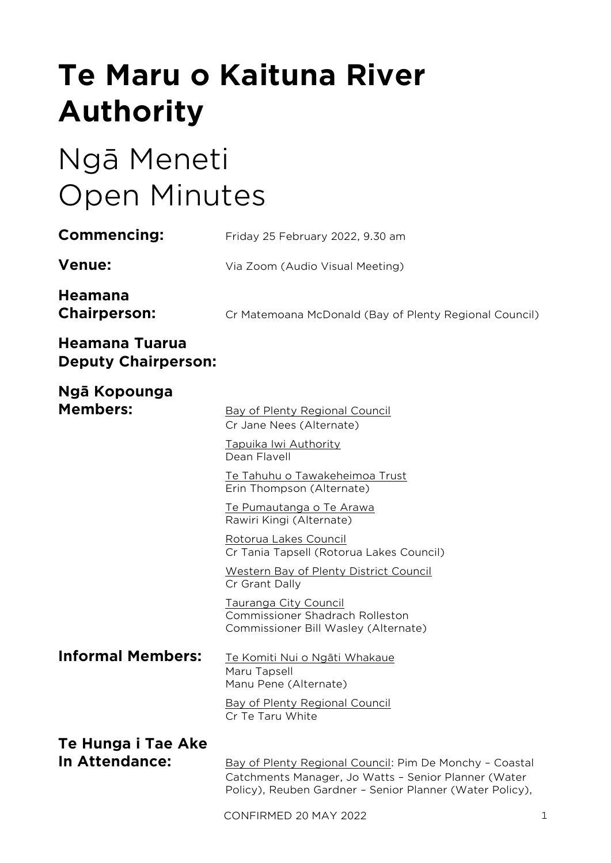# **Te Maru o Kaituna River Authority**

# Ngā Meneti Open Minutes

| Commencing:                                         | Friday 25 February 2022, 9.30 am                                                                                                     |
|-----------------------------------------------------|--------------------------------------------------------------------------------------------------------------------------------------|
| <b>Venue:</b>                                       | Via Zoom (Audio Visual Meeting)                                                                                                      |
| <b>Heamana</b><br><b>Chairperson:</b>               | Cr Matemoana McDonald (Bay of Plenty Regional Council)                                                                               |
| <b>Heamana Tuarua</b><br><b>Deputy Chairperson:</b> |                                                                                                                                      |
| Ngā Kopounga<br><b>Members:</b>                     | Bay of Plenty Regional Council<br>Cr Jane Nees (Alternate)<br>Tapuika Iwi Authority<br>Dean Flavell                                  |
|                                                     | Te Tahuhu o Tawakeheimoa Trust<br>Erin Thompson (Alternate)<br>Te Pumautanga o Te Arawa<br>Rawiri Kingi (Alternate)                  |
|                                                     | Rotorua Lakes Council<br>Cr Tania Tapsell (Rotorua Lakes Council)<br><b>Western Bay of Plenty District Council</b><br>Cr Grant Dally |
|                                                     | Tauranga City Council<br><b>Commissioner Shadrach Rolleston</b><br>Commissioner Bill Wasley (Alternate)                              |
| <b>Informal Members:</b>                            | Te Komiti Nui o Ngāti Whakaue<br>Maru Tapsell<br>Manu Pene (Alternate)                                                               |
|                                                     | <b>Bay of Plenty Regional Council</b><br>Cr Te Taru White                                                                            |
| Te Hunga i Tae Ake<br>In Attendance:                | Bay of Plenty Regional Council: Pim De Monchy - Coastal<br>Catchments Manager, Jo Watts - Senior Planner (Water                      |

CONFIRMED 20 MAY 2022 1

Policy), Reuben Gardner – Senior Planner (Water Policy),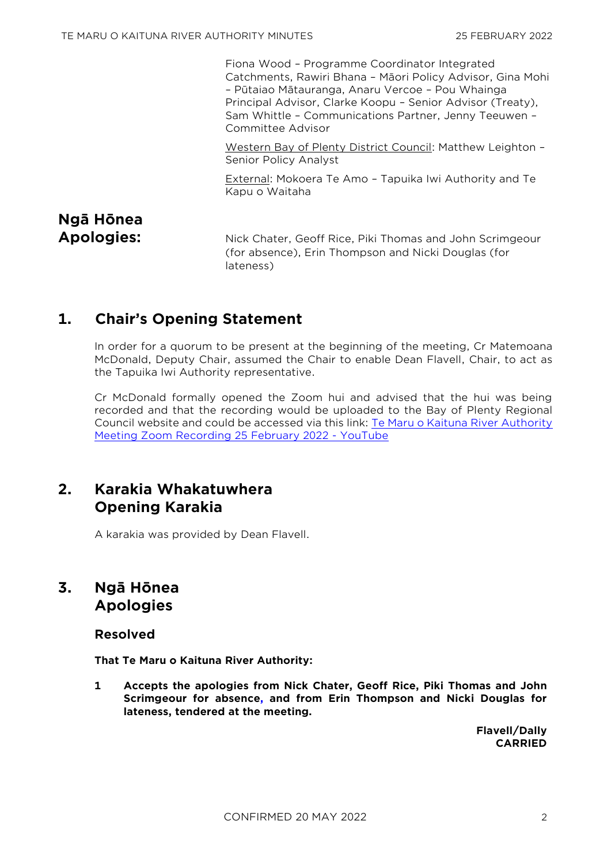Fiona Wood – Programme Coordinator Integrated Catchments, Rawiri Bhana – Māori Policy Advisor, Gina Mohi – Pūtaiao Mātauranga, Anaru Vercoe – Pou Whainga Principal Advisor, Clarke Koopu – Senior Advisor (Treaty), Sam Whittle – Communications Partner, Jenny Teeuwen – Committee Advisor

Western Bay of Plenty District Council: Matthew Leighton – Senior Policy Analyst

External: Mokoera Te Amo – Tapuika Iwi Authority and Te Kapu o Waitaha

# **Ngā Hōnea**

**Apologies:** Nick Chater, Geoff Rice, Piki Thomas and John Scrimgeour (for absence), Erin Thompson and Nicki Douglas (for lateness)

# **1. Chair's Opening Statement**

In order for a quorum to be present at the beginning of the meeting, Cr Matemoana McDonald, Deputy Chair, assumed the Chair to enable Dean Flavell, Chair, to act as the Tapuika Iwi Authority representative.

Cr McDonald formally opened the Zoom hui and advised that the hui was being recorded and that the recording would be uploaded to the Bay of Plenty Regional Council website and could be accessed via this link: [Te Maru o Kaituna River Authority](https://www.youtube.com/watch?v=jP2LNg4wUp8)  [Meeting Zoom Recording 25 February 2022 -](https://www.youtube.com/watch?v=jP2LNg4wUp8) YouTube

# **2. Karakia Whakatuwhera Opening Karakia**

A karakia was provided by Dean Flavell.

# **3. Ngā Hōnea Apologies**

## **Resolved**

**That Te Maru o Kaituna River Authority:**

**1 Accepts the apologies from Nick Chater, Geoff Rice, Piki Thomas and John Scrimgeour for absence, and from Erin Thompson and Nicki Douglas for lateness, tendered at the meeting.**

> **Flavell/Dally CARRIED**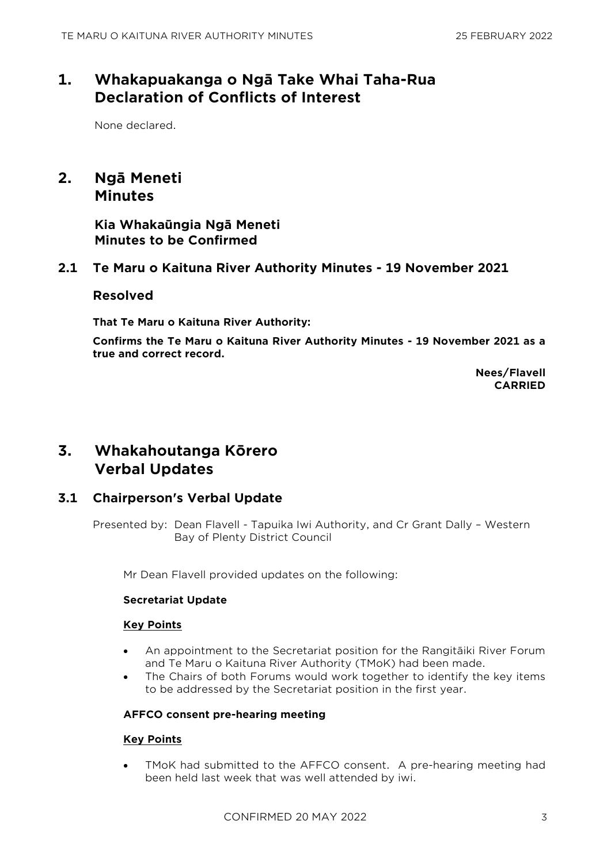# **1. Whakapuakanga o Ngā Take Whai Taha-Rua Declaration of Conflicts of Interest**

None declared.

## **2. Ngā Meneti Minutes**

**Kia Whakaūngia Ngā Meneti Minutes to be Confirmed**

## **2.1 Te Maru o Kaituna River Authority Minutes - 19 November 2021**

## **Resolved**

**That Te Maru o Kaituna River Authority:**

**Confirms the Te Maru o Kaituna River Authority Minutes - 19 November 2021 as a true and correct record.**

> **Nees/Flavell CARRIED**

## **3. Whakahoutanga Kōrero Verbal Updates**

## **3.1 Chairperson's Verbal Update**

Presented by: Dean Flavell - Tapuika Iwi Authority, and Cr Grant Dally – Western Bay of Plenty District Council

Mr Dean Flavell provided updates on the following:

## **Secretariat Update**

## **Key Points**

- An appointment to the Secretariat position for the Rangitāiki River Forum and Te Maru o Kaituna River Authority (TMoK) had been made.
- The Chairs of both Forums would work together to identify the key items to be addressed by the Secretariat position in the first year.

## **AFFCO consent pre-hearing meeting**

## **Key Points**

• TMoK had submitted to the AFFCO consent. A pre-hearing meeting had been held last week that was well attended by iwi.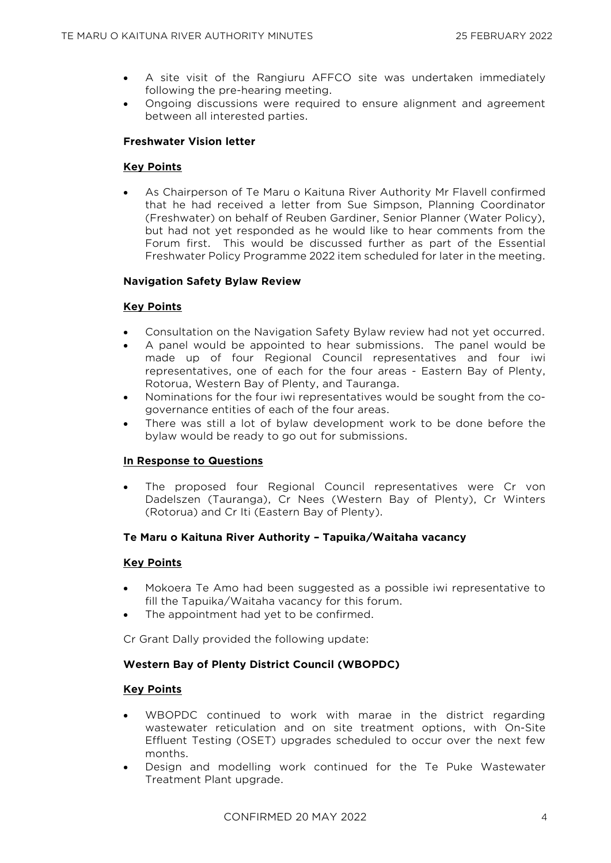- A site visit of the Rangiuru AFFCO site was undertaken immediately following the pre-hearing meeting.
- Ongoing discussions were required to ensure alignment and agreement between all interested parties.

## **Freshwater Vision letter**

#### **Key Points**

• As Chairperson of Te Maru o Kaituna River Authority Mr Flavell confirmed that he had received a letter from Sue Simpson, Planning Coordinator (Freshwater) on behalf of Reuben Gardiner, Senior Planner (Water Policy), but had not yet responded as he would like to hear comments from the Forum first. This would be discussed further as part of the Essential Freshwater Policy Programme 2022 item scheduled for later in the meeting.

#### **Navigation Safety Bylaw Review**

#### **Key Points**

- Consultation on the Navigation Safety Bylaw review had not yet occurred.
- A panel would be appointed to hear submissions. The panel would be made up of four Regional Council representatives and four iwi representatives, one of each for the four areas - Eastern Bay of Plenty, Rotorua, Western Bay of Plenty, and Tauranga.
- Nominations for the four iwi representatives would be sought from the cogovernance entities of each of the four areas.
- There was still a lot of bylaw development work to be done before the bylaw would be ready to go out for submissions.

#### **In Response to Questions**

The proposed four Regional Council representatives were Cr von Dadelszen (Tauranga), Cr Nees (Western Bay of Plenty), Cr Winters (Rotorua) and Cr Iti (Eastern Bay of Plenty).

## **Te Maru o Kaituna River Authority – Tapuika/Waitaha vacancy**

#### **Key Points**

- Mokoera Te Amo had been suggested as a possible iwi representative to fill the Tapuika/Waitaha vacancy for this forum.
- The appointment had yet to be confirmed.

Cr Grant Dally provided the following update:

## **Western Bay of Plenty District Council (WBOPDC)**

#### **Key Points**

- WBOPDC continued to work with marae in the district regarding wastewater reticulation and on site treatment options, with On-Site Effluent Testing (OSET) upgrades scheduled to occur over the next few months.
- Design and modelling work continued for the Te Puke Wastewater Treatment Plant upgrade.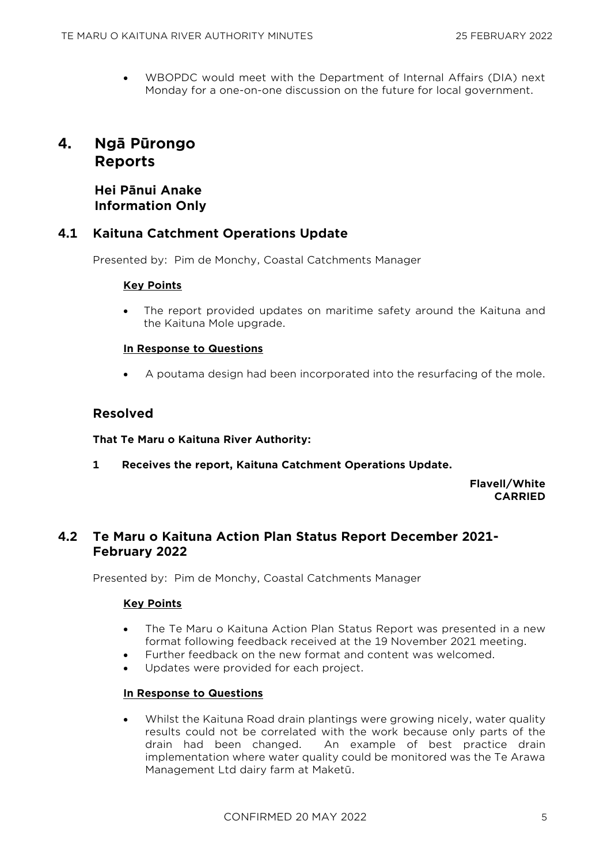• WBOPDC would meet with the Department of Internal Affairs (DIA) next Monday for a one-on-one discussion on the future for local government.

## **4. Ngā Pūrongo Reports**

## **Hei Pānui Anake Information Only**

## **4.1 Kaituna Catchment Operations Update**

Presented by: Pim de Monchy, Coastal Catchments Manager

## **Key Points**

The report provided updates on maritime safety around the Kaituna and the Kaituna Mole upgrade.

## **In Response to Questions**

• A poutama design had been incorporated into the resurfacing of the mole.

## **Resolved**

## **That Te Maru o Kaituna River Authority:**

**1 Receives the report, Kaituna Catchment Operations Update.**

**Flavell/White CARRIED**

## **4.2 Te Maru o Kaituna Action Plan Status Report December 2021- February 2022**

Presented by: Pim de Monchy, Coastal Catchments Manager

## **Key Points**

- The Te Maru o Kaituna Action Plan Status Report was presented in a new format following feedback received at the 19 November 2021 meeting.
- Further feedback on the new format and content was welcomed.
- Updates were provided for each project.

## **In Response to Questions**

• Whilst the Kaituna Road drain plantings were growing nicely, water quality results could not be correlated with the work because only parts of the drain had been changed. An example of best practice drain implementation where water quality could be monitored was the Te Arawa Management Ltd dairy farm at Maketū.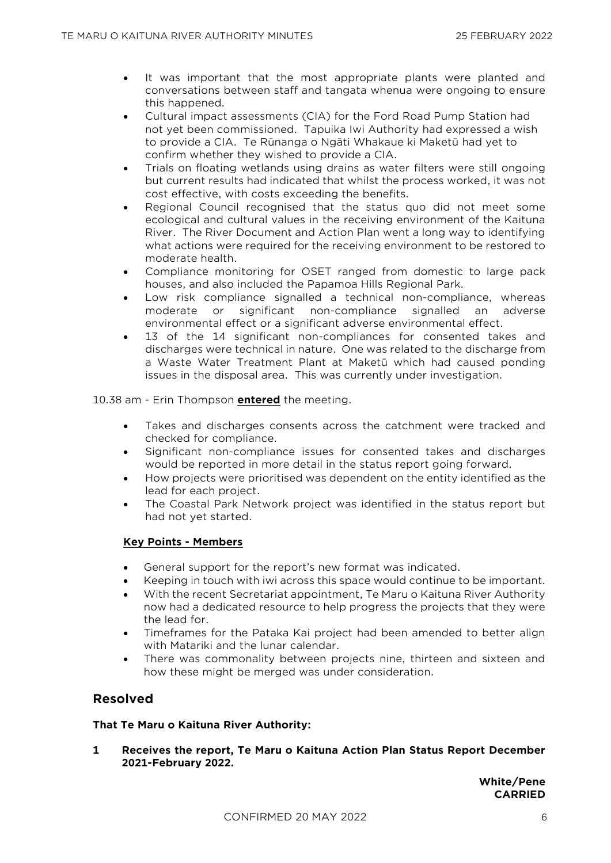- It was important that the most appropriate plants were planted and conversations between staff and tangata whenua were ongoing to ensure this happened.
- Cultural impact assessments (CIA) for the Ford Road Pump Station had not yet been commissioned. Tapuika Iwi Authority had expressed a wish to provide a CIA. Te Rūnanga o Ngāti Whakaue ki Maketū had yet to confirm whether they wished to provide a CIA.
- Trials on floating wetlands using drains as water filters were still ongoing but current results had indicated that whilst the process worked, it was not cost effective, with costs exceeding the benefits.
- Regional Council recognised that the status quo did not meet some ecological and cultural values in the receiving environment of the Kaituna River. The River Document and Action Plan went a long way to identifying what actions were required for the receiving environment to be restored to moderate health.
- Compliance monitoring for OSET ranged from domestic to large pack houses, and also included the Papamoa Hills Regional Park.
- Low risk compliance signalled a technical non-compliance, whereas moderate or significant non-compliance signalled an adverse environmental effect or a significant adverse environmental effect.
- 13 of the 14 significant non-compliances for consented takes and discharges were technical in nature. One was related to the discharge from a Waste Water Treatment Plant at Maketū which had caused ponding issues in the disposal area. This was currently under investigation.

10.38 am - Erin Thompson **entered** the meeting.

- Takes and discharges consents across the catchment were tracked and checked for compliance.
- Significant non-compliance issues for consented takes and discharges would be reported in more detail in the status report going forward.
- How projects were prioritised was dependent on the entity identified as the lead for each project.
- The Coastal Park Network project was identified in the status report but had not yet started.

## **Key Points - Members**

- General support for the report's new format was indicated.
- Keeping in touch with iwi across this space would continue to be important.
- With the recent Secretariat appointment, Te Maru o Kaituna River Authority now had a dedicated resource to help progress the projects that they were the lead for.
- Timeframes for the Pataka Kai project had been amended to better align with Matariki and the lunar calendar.
- There was commonality between projects nine, thirteen and sixteen and how these might be merged was under consideration.

## **Resolved**

## **That Te Maru o Kaituna River Authority:**

**1 Receives the report, Te Maru o Kaituna Action Plan Status Report December 2021-February 2022.**

> **White/Pene CARRIED**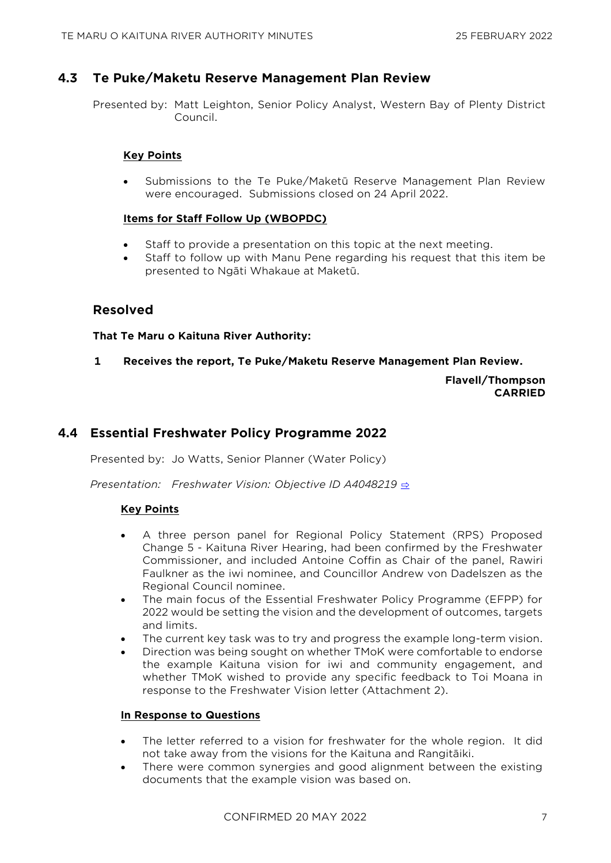## **4.3 Te Puke/Maketu Reserve Management Plan Review**

Presented by: Matt Leighton, Senior Policy Analyst, Western Bay of Plenty District Council.

## **Key Points**

• Submissions to the Te Puke/Maketū Reserve Management Plan Review were encouraged. Submissions closed on 24 April 2022.

## **Items for Staff Follow Up (WBOPDC)**

- Staff to provide a presentation on this topic at the next meeting.
- Staff to follow up with Manu Pene regarding his request that this item be presented to Ngāti Whakaue at Maketū.

## **Resolved**

## **That Te Maru o Kaituna River Authority:**

**1 Receives the report, Te Puke/Maketu Reserve Management Plan Review.**

**Flavell/Thompson CARRIED**

## **4.4 Essential Freshwater Policy Programme 2022**

Presented by: Jo Watts, Senior Planner (Water Policy)

*Presentation: Freshwater Vision: Objective ID A4048219* [⇨](../../../RedirectToInvalidFileName.aspx?FileName=TMOK_20220225_MAT_3529.PDF#PAGE=2)

## **Key Points**

- A three person panel for Regional Policy Statement (RPS) Proposed Change 5 - Kaituna River Hearing, had been confirmed by the Freshwater Commissioner, and included Antoine Coffin as Chair of the panel, Rawiri Faulkner as the iwi nominee, and Councillor Andrew von Dadelszen as the Regional Council nominee.
- The main focus of the Essential Freshwater Policy Programme (EFPP) for 2022 would be setting the vision and the development of outcomes, targets and limits.
- The current key task was to try and progress the example long-term vision.
- Direction was being sought on whether TMoK were comfortable to endorse the example Kaituna vision for iwi and community engagement, and whether TMoK wished to provide any specific feedback to Toi Moana in response to the Freshwater Vision letter (Attachment 2).

## **In Response to Questions**

- The letter referred to a vision for freshwater for the whole region. It did not take away from the visions for the Kaituna and Rangitāiki.
- There were common synergies and good alignment between the existing documents that the example vision was based on.